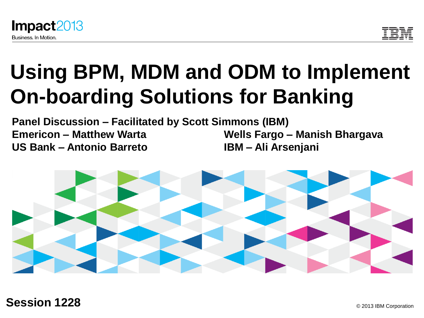



# **Using BPM, MDM and ODM to Implement On-boarding Solutions for Banking**

**Panel Discussion – Facilitated by Scott Simmons (IBM) Emericon – Matthew Warta Wells Fargo – Manish Bhargava**

**US Bank – Antonio Barreto IBM – Ali Arsenjani**

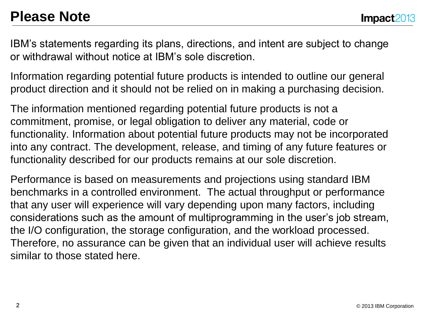### **Please Note**

IBM's statements regarding its plans, directions, and intent are subject to change or withdrawal without notice at IBM's sole discretion.

Information regarding potential future products is intended to outline our general product direction and it should not be relied on in making a purchasing decision.

The information mentioned regarding potential future products is not a commitment, promise, or legal obligation to deliver any material, code or functionality. Information about potential future products may not be incorporated into any contract. The development, release, and timing of any future features or functionality described for our products remains at our sole discretion.

Performance is based on measurements and projections using standard IBM benchmarks in a controlled environment. The actual throughput or performance that any user will experience will vary depending upon many factors, including considerations such as the amount of multiprogramming in the user's job stream, the I/O configuration, the storage configuration, and the workload processed. Therefore, no assurance can be given that an individual user will achieve results similar to those stated here.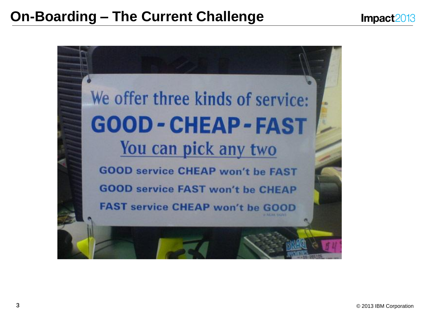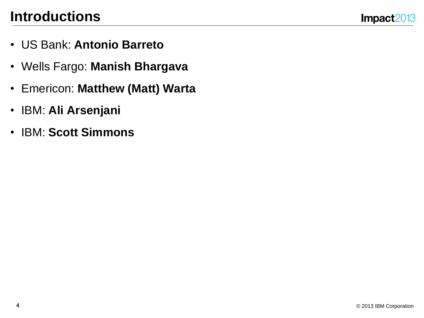## **Introductions**

- US Bank: **Antonio Barreto**
- Wells Fargo: **Manish Bhargava**
- Emericon: **Matthew (Matt) Warta**
- IBM: **Ali Arsenjani**
- IBM: **Scott Simmons**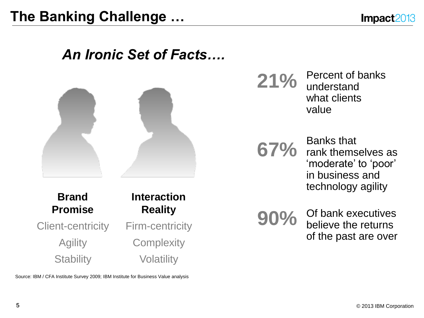| <b>Brand</b><br><b>Promise</b> | <b>Interaction</b><br><b>Reality</b> |  |  |
|--------------------------------|--------------------------------------|--|--|
| <b>Client-centricity</b>       | <b>Firm-centricity</b>               |  |  |

**Complexity** 

**Volatility** 

*An Ironic Set of Facts….*



Percent of banks **21%** Percent of b<br>understand what clients value

**67%** Banks that rank themselves as 'moderate' to 'poor' in business and technology agility

Of bank executives **90%** Of bank executives believe the returns of the past are over

Source: IBM / CFA Institute Survey 2009; IBM Institute for Business Value analysis

**Agility** 

**Stability**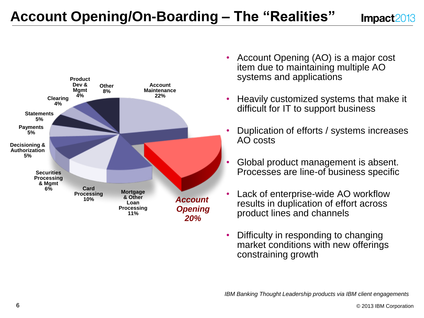

- Account Opening (AO) is a major cost item due to maintaining multiple AO systems and applications
- Heavily customized systems that make it difficult for IT to support business
- Duplication of efforts / systems increases AO costs
- Global product management is absent. Processes are line-of business specific
- Lack of enterprise-wide AO workflow results in duplication of effort across product lines and channels
- Difficulty in responding to changing market conditions with new offerings constraining growth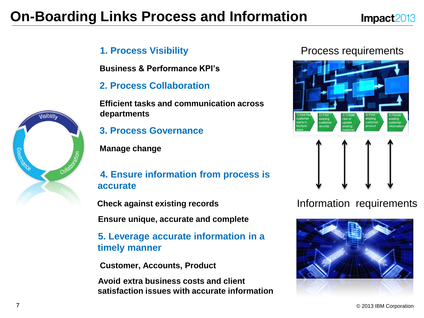### **On-Boarding Links Process and Information**

#### **1. Process Visibility**

 **Business & Performance KPI's**

 **2. Process Collaboration** 

 **Efficient tasks and communication across departments**

#### **3. Process Governance**

 **Manage change**

#### **4. Ensure information from process is accurate**

 **Check against existing records Ensure unique, accurate and complete** 

 **5. Leverage accurate information in a timely manner** 

 **Customer, Accounts, Product**

 **Avoid extra business costs and client satisfaction issues with accurate information**

#### Process requirements



### Information requirements



7 © 2013 IBM Corporation

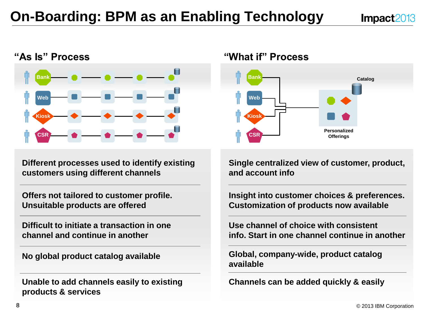

**Different processes used to identify existing customers using different channels**

**Offers not tailored to customer profile. Unsuitable products are offered**

**Difficult to initiate a transaction in one channel and continue in another**

**No global product catalog available**

**Unable to add channels easily to existing products & services**

**"As Is" Process "What if" Process**



**Single centralized view of customer, product, and account info**

**Insight into customer choices & preferences. Customization of products now available**

**Use channel of choice with consistent info. Start in one channel continue in another**

**Global, company-wide, product catalog available**

**Channels can be added quickly & easily**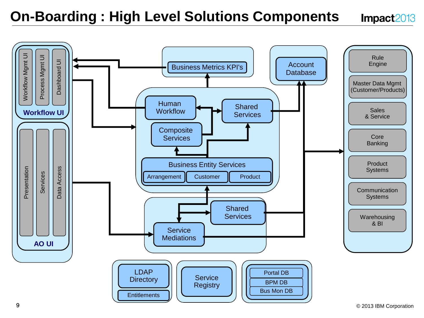### **On-Boarding : High Level Solutions Components**



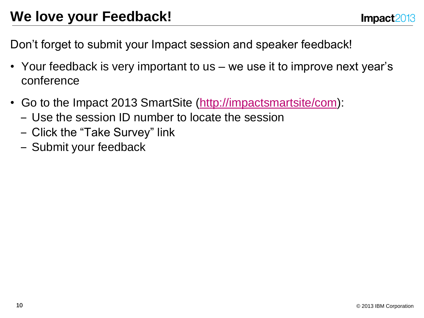Don't forget to submit your Impact session and speaker feedback!

- Your feedback is very important to us we use it to improve next year's conference
- Go to the Impact 2013 SmartSite (<http://impactsmartsite/com>):
	- ‒ Use the session ID number to locate the session
	- ‒ Click the "Take Survey" link
	- ‒ Submit your feedback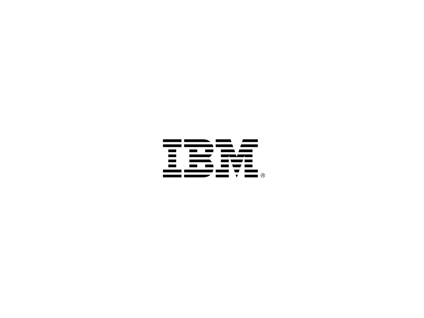|                                                                                                                                                                                                                                      | $\overline{\phantom{a}}$ , and the set of $\overline{\phantom{a}}$ |        |     |
|--------------------------------------------------------------------------------------------------------------------------------------------------------------------------------------------------------------------------------------|--------------------------------------------------------------------|--------|-----|
|                                                                                                                                                                                                                                      |                                                                    |        |     |
| <b>Contract Contract Contract Contract</b>                                                                                                                                                                                           |                                                                    |        |     |
|                                                                                                                                                                                                                                      |                                                                    |        |     |
| <b>The Common Service</b>                                                                                                                                                                                                            | _________________                                                  |        |     |
| <u> The Common Service Common Service Common Service Common Service Common Service Common Service Common Service Common Service Common Service Common Service Common Service Common Service Common Service Common Service Common</u> |                                                                    | ------ |     |
|                                                                                                                                                                                                                                      |                                                                    |        | (R) |